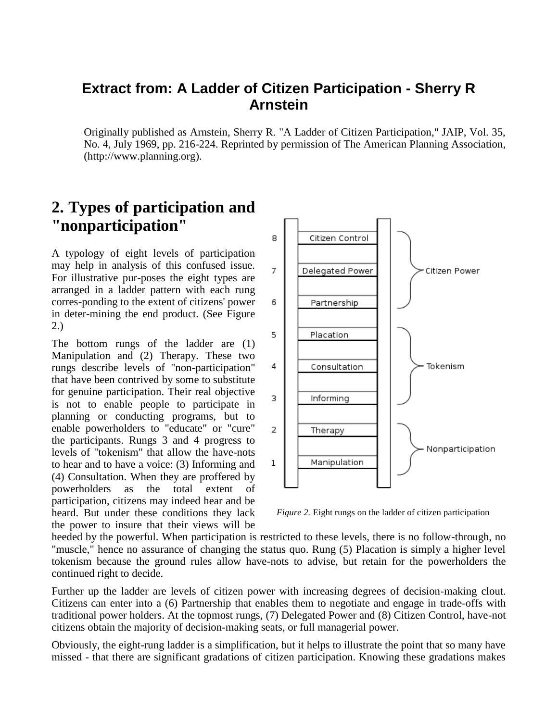## **Extract from: A Ladder of Citizen Participation - Sherry R Arnstein**

Originally published as Arnstein, Sherry R. "A Ladder of Citizen Participation," JAIP, Vol. 35, No. 4, July 1969, pp. 216-224. Reprinted by permission of The American Planning Association, (http://www.planning.org).

## **2. Types of participation and "nonparticipation"**

A typology of eight levels of participation may help in analysis of this confused issue. For illustrative pur-poses the eight types are arranged in a ladder pattern with each rung corres-ponding to the extent of citizens' power in deter-mining the end product. (See Figure 2.)

The bottom rungs of the ladder are (1) Manipulation and (2) Therapy. These two rungs describe levels of "non-participation" that have been contrived by some to substitute for genuine participation. Their real objective is not to enable people to participate in planning or conducting programs, but to enable powerholders to "educate" or "cure" the participants. Rungs 3 and 4 progress to levels of "tokenism" that allow the have-nots to hear and to have a voice: (3) Informing and (4) Consultation. When they are proffered by powerholders as the total extent of participation, citizens may indeed hear and be heard. But under these conditions they lack the power to insure that their views will be



*Figure 2.* Eight rungs on the ladder of citizen participation

heeded by the powerful. When participation is restricted to these levels, there is no follow-through, no "muscle," hence no assurance of changing the status quo. Rung (5) Placation is simply a higher level tokenism because the ground rules allow have-nots to advise, but retain for the powerholders the continued right to decide.

Further up the ladder are levels of citizen power with increasing degrees of decision-making clout. Citizens can enter into a (6) Partnership that enables them to negotiate and engage in trade-offs with traditional power holders. At the topmost rungs, (7) Delegated Power and (8) Citizen Control, have-not citizens obtain the majority of decision-making seats, or full managerial power.

Obviously, the eight-rung ladder is a simplification, but it helps to illustrate the point that so many have missed - that there are significant gradations of citizen participation. Knowing these gradations makes